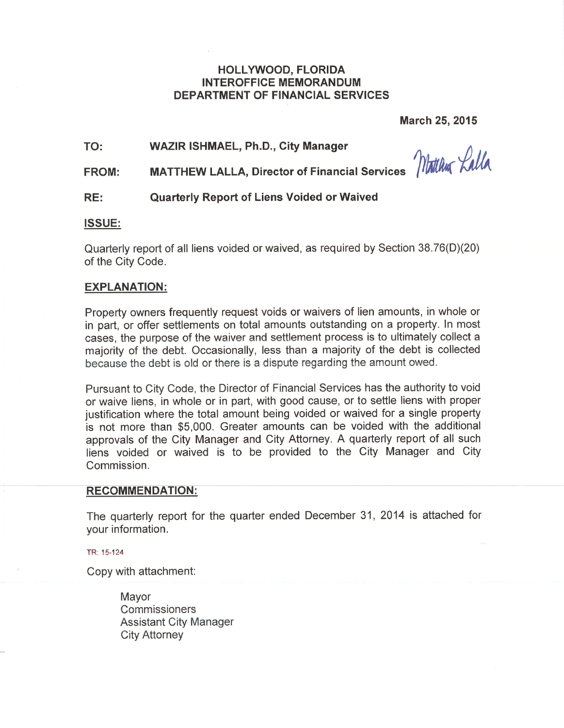# **HOLLYWOOD, FLORIDA INTEROFFICE MEMORANDUM DEPARTMENT OF FINANCIAL SERVICES**

**March 25, 2015** 

TO: **WAZIR ISHMAEL, Ph.D., City Manager** 

Montchea Lalla

**MATTHEW LALLA, Director of Financial Services FROM:** 

#### RE: **Quarterly Report of Liens Voided or Waived**

# **ISSUE:**

Quarterly report of all liens voided or waived, as required by Section 38.76(D)(20) of the City Code.

### **EXPLANATION:**

Property owners frequently request voids or waivers of lien amounts, in whole or in part, or offer settlements on total amounts outstanding on a property. In most cases, the purpose of the waiver and settlement process is to ultimately collect a majority of the debt. Occasionally, less than a majority of the debt is collected because the debt is old or there is a dispute regarding the amount owed.

Pursuant to City Code, the Director of Financial Services has the authority to void or waive liens, in whole or in part, with good cause, or to settle liens with proper justification where the total amount being voided or waived for a single property is not more than \$5,000. Greater amounts can be voided with the additional approvals of the City Manager and City Attorney. A quarterly report of all such liens voided or waived is to be provided to the City Manager and City Commission.

### **RECOMMENDATION:**

The quarterly report for the quarter ended December 31, 2014 is attached for your information.

TR: 15-124

Copy with attachment:

Mavor Commissioners **Assistant City Manager City Attorney**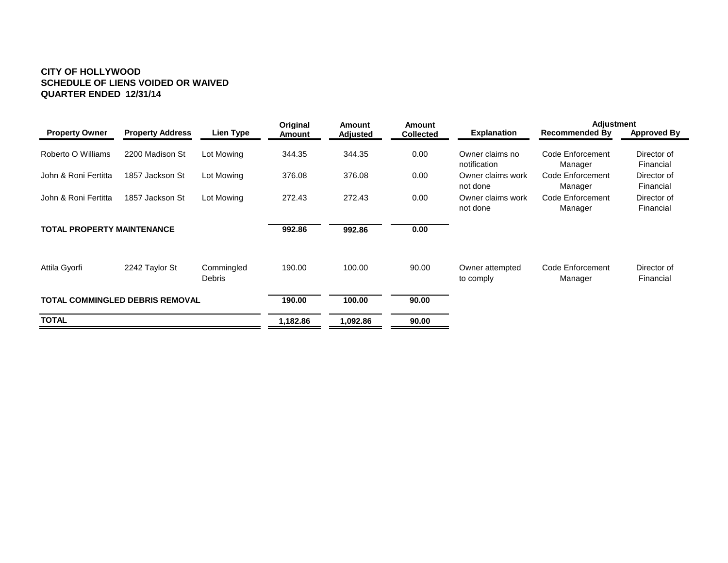#### **CITY OF HOLLYWOOD SCHEDULE OF LIENS VOIDED OR WAIVED QUARTER ENDED 12/31/14**

|                                        |                         |                      | <b>Original</b> | Amount          | <b>Amount</b>    |                                 | <b>Adjustment</b>           |                          |  |
|----------------------------------------|-------------------------|----------------------|-----------------|-----------------|------------------|---------------------------------|-----------------------------|--------------------------|--|
| <b>Property Owner</b>                  | <b>Property Address</b> | Lien Type            | Amount          | <b>Adjusted</b> | <b>Collected</b> | <b>Explanation</b>              | <b>Recommended By</b>       | <b>Approved By</b>       |  |
| Roberto O Williams                     | 2200 Madison St         | Lot Mowing           | 344.35          | 344.35          | 0.00             | Owner claims no<br>notification | Code Enforcement<br>Manager | Director of<br>Financial |  |
| John & Roni Fertitta                   | 1857 Jackson St         | Lot Mowing           | 376.08          | 376.08          | 0.00             | Owner claims work<br>not done   | Code Enforcement<br>Manager | Director of<br>Financial |  |
| John & Roni Fertitta                   | 1857 Jackson St         | Lot Mowing           | 272.43          | 272.43          | 0.00             | Owner claims work<br>not done   | Code Enforcement<br>Manager | Director of<br>Financial |  |
| <b>TOTAL PROPERTY MAINTENANCE</b>      |                         |                      | 992.86          | 992.86          | 0.00             |                                 |                             |                          |  |
| Attila Gyorfi                          | 2242 Taylor St          | Commingled<br>Debris | 190.00          | 100.00          | 90.00            | Owner attempted<br>to comply    | Code Enforcement<br>Manager | Director of<br>Financial |  |
| <b>TOTAL COMMINGLED DEBRIS REMOVAL</b> |                         |                      | 190.00          | 100.00          | 90.00            |                                 |                             |                          |  |
| <b>TOTAL</b>                           |                         |                      | 1,182.86        | 1,092.86        | 90.00            |                                 |                             |                          |  |